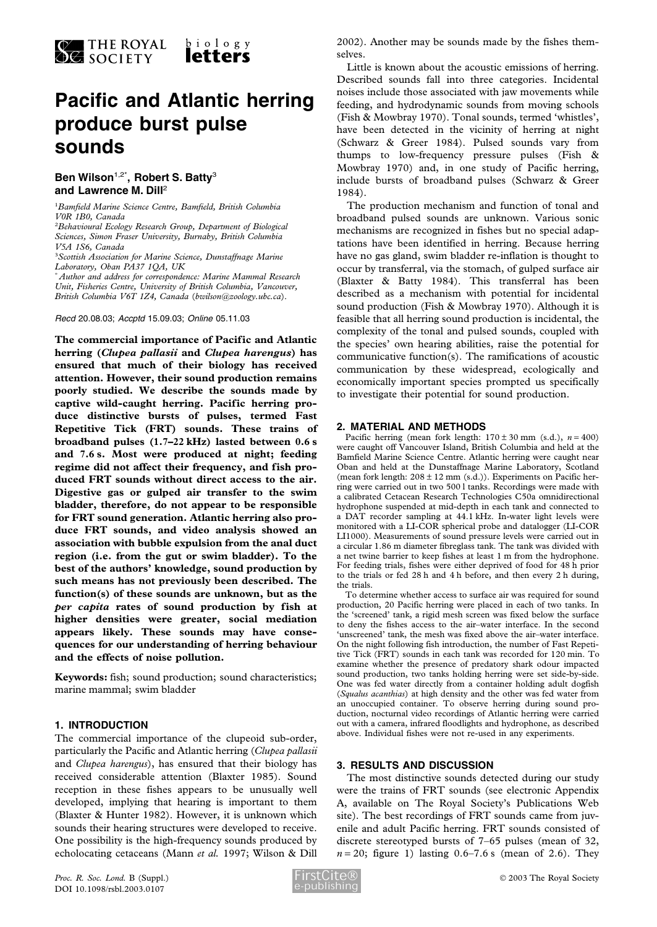

# **Pacific and Atlantic herring produce burst pulse sounds**

## **Ben Wilson**1,2\***, Robert S. Batty**<sup>3</sup> **and Lawrence M. Dill**<sup>2</sup>

1 *Bamfield Marine Science Centre, Bamfield, British Columbia V0R 1B0, Canada*

2 *Behavioural Ecology Research Group, Department of Biological Sciences, Simon Fraser University, Burnaby, British Columbia V5A 1S6, Canada*

3 *Scottish Association for Marine Science, Dunstaffnage Marine Laboratory, Oban PA37 1QA, UK*

\* *Author and address for correspondence: Marine Mammal Research Unit, Fisheries Centre, University of British Columbia, Vancouver, British Columbia V6T 1Z4, Canada* (*bwilson@zoology.ubc.ca*).

*Recd* 20.08.03; *Accptd* 15.09.03; *Online* 05.11.03

**The commercial importance of Pacific and Atlantic herring (***Clupea pallasii* **and** *Clupea harengus***) has ensured that much of their biology has received attention. However, their sound production remains poorly studied. We describe the sounds made by captive wild-caught herring. Pacific herring produce distinctive bursts of pulses, termed Fast Repetitive Tick (FRT) sounds. These trains of broadband pulses (1.7–22 kHz) lasted between 0.6 s and 7.6 s. Most were produced at night; feeding regime did not affect their frequency, and fish produced FRT sounds without direct access to the air. Digestive gas or gulped air transfer to the swim bladder, therefore, do not appear to be responsible for FRT sound generation. Atlantic herring also produce FRT sounds, and video analysis showed an association with bubble expulsion from the anal duct region (i.e. from the gut or swim bladder). To the best of the authors' knowledge, sound production by such means has not previously been described. The function(s) of these sounds are unknown, but as the** *per capita* **rates of sound production by fish at higher densities were greater, social mediation appears likely. These sounds may have consequences for our understanding of herring behaviour and the effects of noise pollution.**

**Keywords:** fish; sound production; sound characteristics; marine mammal; swim bladder

### **1. INTRODUCTION**

The commercial importance of the clupeoid sub-order, particularly the Pacific and Atlantic herring (*Clupea pallasii* and *Clupea harengus*), has ensured that their biology has received considerable attention (Blaxter 1985). Sound reception in these fishes appears to be unusually well developed, implying that hearing is important to them (Blaxter & Hunter 1982). However, it is unknown which sounds their hearing structures were developed to receive. One possibility is the high-frequency sounds produced by echolocating cetaceans (Mann *et al.* 1997; Wilson & Dill

2002). Another may be sounds made by the fishes themselves.

Little is known about the acoustic emissions of herring. Described sounds fall into three categories. Incidental noises include those associated with jaw movements while feeding, and hydrodynamic sounds from moving schools (Fish & Mowbray 1970). Tonal sounds, termed 'whistles', have been detected in the vicinity of herring at night (Schwarz & Greer 1984). Pulsed sounds vary from thumps to low-frequency pressure pulses (Fish & Mowbray 1970) and, in one study of Pacific herring, include bursts of broadband pulses (Schwarz & Greer 1984).

The production mechanism and function of tonal and broadband pulsed sounds are unknown. Various sonic mechanisms are recognized in fishes but no special adaptations have been identified in herring. Because herring have no gas gland, swim bladder re-inflation is thought to occur by transferral, via the stomach, of gulped surface air (Blaxter & Batty 1984). This transferral has been described as a mechanism with potential for incidental sound production (Fish & Mowbray 1970). Although it is feasible that all herring sound production is incidental, the complexity of the tonal and pulsed sounds, coupled with the species' own hearing abilities, raise the potential for communicative function(s). The ramifications of acoustic communication by these widespread, ecologically and economically important species prompted us specifically to investigate their potential for sound production.

#### **2. MATERIAL AND METHODS**

Pacific herring (mean fork length:  $170 \pm 30$  mm (s.d.),  $n = 400$ ) were caught off Vancouver Island, British Columbia and held at the Bamfield Marine Science Centre. Atlantic herring were caught near Oban and held at the Dunstaffnage Marine Laboratory, Scotland (mean fork length:  $208 \pm 12$  mm (s.d.)). Experiments on Pacific herring were carried out in two 500 l tanks. Recordings were made with a calibrated Cetacean Research Technologies C50a omnidirectional hydrophone suspended at mid-depth in each tank and connected to a DAT recorder sampling at 44.1 kHz. In-water light levels were monitored with a LI-COR spherical probe and datalogger (LI-COR LI1000). Measurements of sound pressure levels were carried out in a circular 1.86 m diameter fibreglass tank. The tank was divided with a net twine barrier to keep fishes at least 1 m from the hydrophone. For feeding trials, fishes were either deprived of food for 48 h prior to the trials or fed 28 h and 4 h before, and then every 2 h during, the trials.

To determine whether access to surface air was required for sound production, 20 Pacific herring were placed in each of two tanks. In the 'screened' tank, a rigid mesh screen was fixed below the surface to deny the fishes access to the air–water interface. In the second 'unscreened' tank, the mesh was fixed above the air–water interface. On the night following fish introduction, the number of Fast Repetitive Tick (FRT) sounds in each tank was recorded for 120 min. To examine whether the presence of predatory shark odour impacted sound production, two tanks holding herring were set side-by-side. One was fed water directly from a container holding adult dogfish (*Squalus acanthias*) at high density and the other was fed water from an unoccupied container. To observe herring during sound production, nocturnal video recordings of Atlantic herring were carried out with a camera, infrared floodlights and hydrophone, as described above. Individual fishes were not re-used in any experiments.

#### **3. RESULTS AND DISCUSSION**

The most distinctive sounds detected during our study were the trains of FRT sounds (see electronic Appendix A, available on The Royal Society's Publications Web site). The best recordings of FRT sounds came from juvenile and adult Pacific herring. FRT sounds consisted of discrete stereotyped bursts of 7–65 pulses (mean of 32,  $n = 20$ ; figure 1) lasting 0.6–7.6 s (mean of 2.6). They

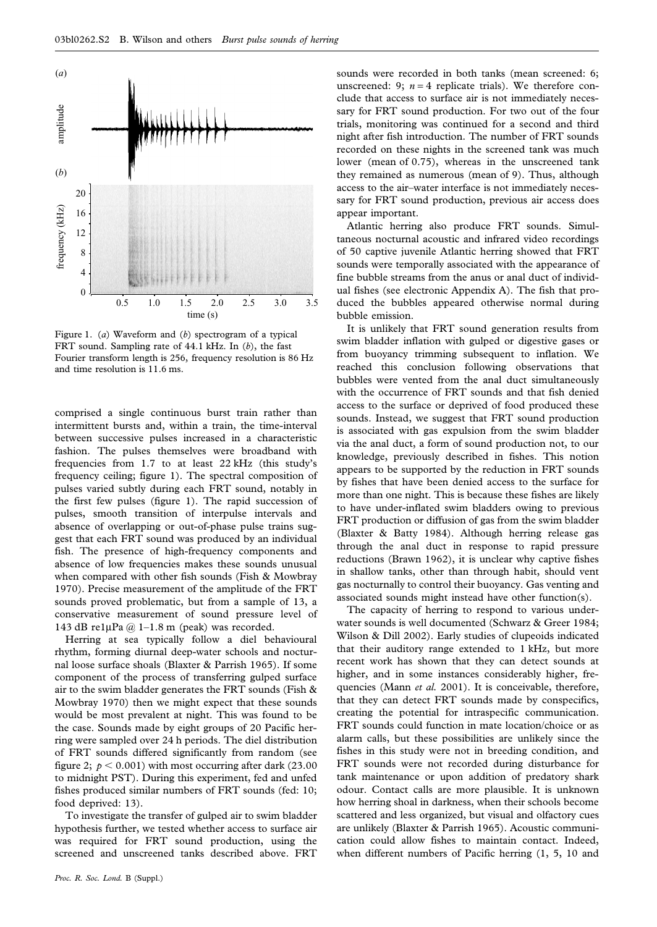

Figure 1. (*a*) Waveform and (*b*) spectrogram of a typical FRT sound. Sampling rate of 44.1 kHz. In (*b*), the fast Fourier transform length is 256, frequency resolution is 86 Hz and time resolution is 11.6 ms.

comprised a single continuous burst train rather than intermittent bursts and, within a train, the time-interval between successive pulses increased in a characteristic fashion. The pulses themselves were broadband with frequencies from 1.7 to at least 22 kHz (this study's frequency ceiling; figure 1). The spectral composition of pulses varied subtly during each FRT sound, notably in the first few pulses (figure 1). The rapid succession of pulses, smooth transition of interpulse intervals and absence of overlapping or out-of-phase pulse trains suggest that each FRT sound was produced by an individual fish. The presence of high-frequency components and absence of low frequencies makes these sounds unusual when compared with other fish sounds (Fish & Mowbray 1970). Precise measurement of the amplitude of the FRT sounds proved problematic, but from a sample of 13, a conservative measurement of sound pressure level of 143 dB re1 $\mu$ Pa @ 1–1.8 m (peak) was recorded.

Herring at sea typically follow a diel behavioural rhythm, forming diurnal deep-water schools and nocturnal loose surface shoals (Blaxter & Parrish 1965). If some component of the process of transferring gulped surface air to the swim bladder generates the FRT sounds (Fish & Mowbray 1970) then we might expect that these sounds would be most prevalent at night. This was found to be the case. Sounds made by eight groups of 20 Pacific herring were sampled over 24 h periods. The diel distribution of FRT sounds differed significantly from random (see figure 2;  $p < 0.001$ ) with most occurring after dark (23.00) to midnight PST). During this experiment, fed and unfed fishes produced similar numbers of FRT sounds (fed: 10; food deprived: 13).

To investigate the transfer of gulped air to swim bladder hypothesis further, we tested whether access to surface air was required for FRT sound production, using the screened and unscreened tanks described above. FRT

sounds were recorded in both tanks (mean screened: 6; unscreened: 9;  $n = 4$  replicate trials). We therefore conclude that access to surface air is not immediately necessary for FRT sound production. For two out of the four trials, monitoring was continued for a second and third night after fish introduction. The number of FRT sounds recorded on these nights in the screened tank was much lower (mean of 0.75), whereas in the unscreened tank they remained as numerous (mean of 9). Thus, although access to the air–water interface is not immediately necessary for FRT sound production, previous air access does appear important.

Atlantic herring also produce FRT sounds. Simultaneous nocturnal acoustic and infrared video recordings of 50 captive juvenile Atlantic herring showed that FRT sounds were temporally associated with the appearance of fine bubble streams from the anus or anal duct of individual fishes (see electronic Appendix A). The fish that produced the bubbles appeared otherwise normal during bubble emission.

It is unlikely that FRT sound generation results from swim bladder inflation with gulped or digestive gases or from buoyancy trimming subsequent to inflation. We reached this conclusion following observations that bubbles were vented from the anal duct simultaneously with the occurrence of FRT sounds and that fish denied access to the surface or deprived of food produced these sounds. Instead, we suggest that FRT sound production is associated with gas expulsion from the swim bladder via the anal duct, a form of sound production not, to our knowledge, previously described in fishes. This notion appears to be supported by the reduction in FRT sounds by fishes that have been denied access to the surface for more than one night. This is because these fishes are likely to have under-inflated swim bladders owing to previous FRT production or diffusion of gas from the swim bladder (Blaxter & Batty 1984). Although herring release gas through the anal duct in response to rapid pressure reductions (Brawn 1962), it is unclear why captive fishes in shallow tanks, other than through habit, should vent gas nocturnally to control their buoyancy. Gas venting and associated sounds might instead have other function(s).

The capacity of herring to respond to various underwater sounds is well documented (Schwarz & Greer 1984; Wilson & Dill 2002). Early studies of clupeoids indicated that their auditory range extended to 1 kHz, but more recent work has shown that they can detect sounds at higher, and in some instances considerably higher, frequencies (Mann *et al.* 2001). It is conceivable, therefore, that they can detect FRT sounds made by conspecifics, creating the potential for intraspecific communication. FRT sounds could function in mate location/choice or as alarm calls, but these possibilities are unlikely since the fishes in this study were not in breeding condition, and FRT sounds were not recorded during disturbance for tank maintenance or upon addition of predatory shark odour. Contact calls are more plausible. It is unknown how herring shoal in darkness, when their schools become scattered and less organized, but visual and olfactory cues are unlikely (Blaxter & Parrish 1965). Acoustic communication could allow fishes to maintain contact. Indeed, when different numbers of Pacific herring (1, 5, 10 and